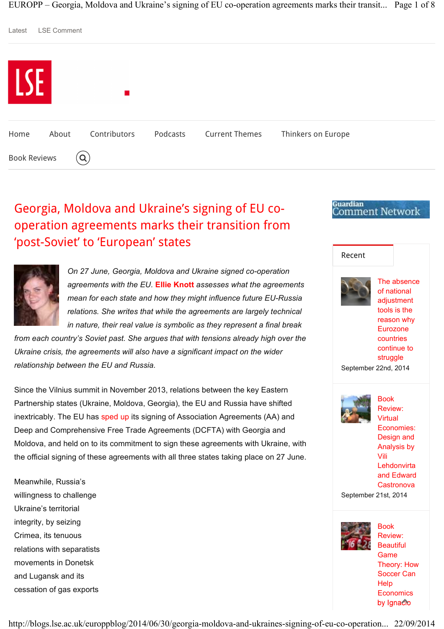EUROPP – Georgia, Moldova and Ukraine's signing of EU co-operation agreements marks their transit... Page 1 of 8



# Georgia, Moldova and Ukraine's signing of EU cooperation agreements marks their transition from 'post-Soviet' to 'European' states



*On 27 June, Georgia, Moldova and Ukraine signed co-operation agreements with the EU.* **Ellie Knott** *assesses what the agreements mean for each state and how they might influence future EU-Russia relations. She writes that while the agreements are largely technical in nature, their real value is symbolic as they represent a final break* 

*from each country's Soviet past. She argues that with tensions already high over the Ukraine crisis, the agreements will also have a significant impact on the wider relationship between the EU and Russia.*

Since the Vilnius summit in November 2013, relations between the key Eastern Partnership states (Ukraine, Moldova, Georgia), the EU and Russia have shifted inextricably. The EU has sped up its signing of Association Agreements (AA) and Deep and Comprehensive Free Trade Agreements (DCFTA) with Georgia and Moldova, and held on to its commitment to sign these agreements with Ukraine, with the official signing of these agreements with all three states taking place on 27 June.

Meanwhile, Russia's willingness to challenge Ukraine's territorial integrity, by seizing Crimea, its tenuous relations with separatists movements in Donetsk and Lugansk and its cessation of gas exports



**Guardian** 

Comment Network

**Economics** 

by Ignacio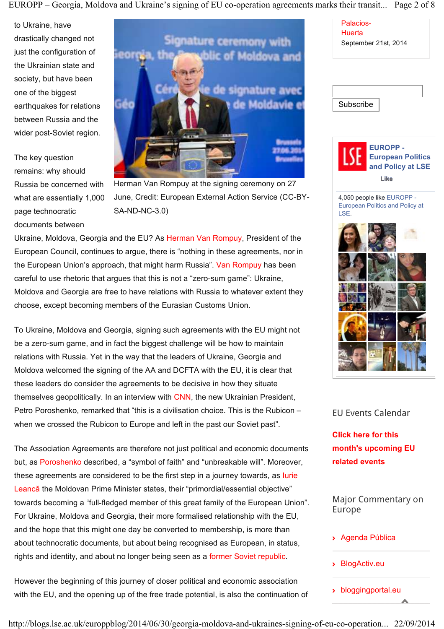EUROPP – Georgia, Moldova and Ukraine's signing of EU co-operation agreements marks their transit... Page 2 of 8

to Ukraine, have drastically changed not just the configuration of the Ukrainian state and society, but have been one of the biggest earthquakes for relations between Russia and the wider post-Soviet region.

The key question remains: why should Russia be concerned with what are essentially 1,000 page technocratic documents between



Herman Van Rompuy at the signing ceremony on 27 June, Credit: European External Action Service (CC-BY-SA-ND-NC-3.0)

Ukraine, Moldova, Georgia and the EU? As Herman Van Rompuy, President of the European Council, continues to argue, there is "nothing in these agreements, nor in the European Union's approach, that might harm Russia". Van Rompuy has been careful to use rhetoric that argues that this is not a "zero-sum game": Ukraine, Moldova and Georgia are free to have relations with Russia to whatever extent they choose, except becoming members of the Eurasian Customs Union.

To Ukraine, Moldova and Georgia, signing such agreements with the EU might not be a zero-sum game, and in fact the biggest challenge will be how to maintain relations with Russia. Yet in the way that the leaders of Ukraine, Georgia and Moldova welcomed the signing of the AA and DCFTA with the EU, it is clear that these leaders do consider the agreements to be decisive in how they situate themselves geopolitically. In an interview with CNN, the new Ukrainian President, Petro Poroshenko, remarked that "this is a civilisation choice. This is the Rubicon – when we crossed the Rubicon to Europe and left in the past our Soviet past".

The Association Agreements are therefore not just political and economic documents but, as Poroshenko described, a "symbol of faith" and "unbreakable will". Moreover, these agreements are considered to be the first step in a journey towards, as Iurie Leancă the Moldovan Prime Minister states, their "primordial/essential objective" towards becoming a "full-fledged member of this great family of the European Union". For Ukraine, Moldova and Georgia, their more formalised relationship with the EU, and the hope that this might one day be converted to membership, is more than about technocratic documents, but about being recognised as European, in status, rights and identity, and about no longer being seen as a former Soviet republic.

However the beginning of this journey of closer political and economic association with the EU, and the opening up of the free trade potential, is also the continuation of

Palacios-**Huerta** September 21st, 2014

**Subscribe** 



4,050 people like EUROPP - European Politics and Policy at LSE.



### EU Events Calendar

**Click here for this month's upcoming EU related events**

Major Commentary on Europe

- Agenda Pública
- BlogActiv.eu
- bloggingportal.eu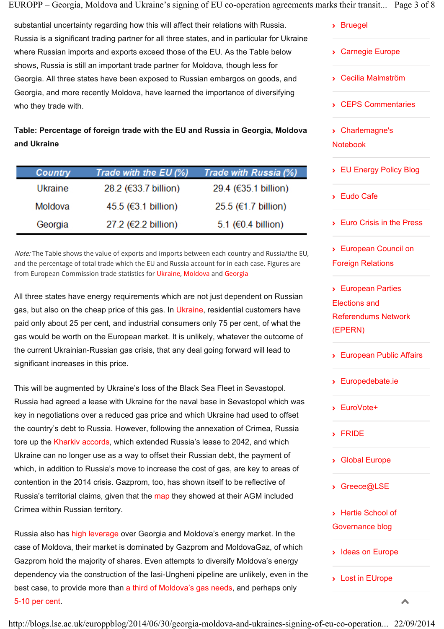EUROPP – Georgia, Moldova and Ukraine's signing of EU co-operation agreements marks their transit... Page 3 of 8

substantial uncertainty regarding how this will affect their relations with Russia. Russia is a significant trading partner for all three states, and in particular for Ukraine where Russian imports and exports exceed those of the EU. As the Table below shows, Russia is still an important trade partner for Moldova, though less for Georgia. All three states have been exposed to Russian embargos on goods, and Georgia, and more recently Moldova, have learned the importance of diversifying who they trade with.

**Table: Percentage of foreign trade with the EU and Russia in Georgia, Moldova and Ukraine**

| <b>Country</b> | Trade with the EU (%) | Trade with Russia (%)    |
|----------------|-----------------------|--------------------------|
| Ukraine        | 28.2 (€33.7 billion)  | 29.4 (€35.1 billion)     |
| Moldova        | $45.5$ (€3.1 billion) | $25.5$ (€1.7 billion)    |
| Georgia        | 27.2 (€2.2 billion)   | 5.1 ( $\in$ 0.4 billion) |

Note: The Table shows the value of exports and imports between each country and Russia/the EU, and the percentage of total trade which the EU and Russia account for in each case. Figures are from European Commission trade statistics for Ukraine, Moldova and Georgia

All three states have energy requirements which are not just dependent on Russian gas, but also on the cheap price of this gas. In Ukraine, residential customers have paid only about 25 per cent, and industrial consumers only 75 per cent, of what the gas would be worth on the European market. It is unlikely, whatever the outcome of the current Ukrainian-Russian gas crisis, that any deal going forward will lead to significant increases in this price.

This will be augmented by Ukraine's loss of the Black Sea Fleet in Sevastopol. Russia had agreed a lease with Ukraine for the naval base in Sevastopol which was key in negotiations over a reduced gas price and which Ukraine had used to offset the country's debt to Russia. However, following the annexation of Crimea, Russia tore up the Kharkiv accords, which extended Russia's lease to 2042, and which Ukraine can no longer use as a way to offset their Russian debt, the payment of which, in addition to Russia's move to increase the cost of gas, are key to areas of contention in the 2014 crisis. Gazprom, too, has shown itself to be reflective of Russia's territorial claims, given that the map they showed at their AGM included Crimea within Russian territory.

Russia also has high leverage over Georgia and Moldova's energy market. In the case of Moldova, their market is dominated by Gazprom and MoldovaGaz, of which Gazprom hold the majority of shares. Even attempts to diversify Moldova's energy dependency via the construction of the Iasi-Ungheni pipeline are unlikely, even in the best case, to provide more than a third of Moldova's gas needs, and perhaps only 5-10 per cent.

- Bruegel
- Carnegie Europe
- Cecilia Malmström
- CEPS Commentaries

- Charlemagne's Notebook

- EU Energy Policy Blog
- Eudo Cafe
- Euro Crisis in the Press
- European Council on Foreign Relations

- European Parties Elections and Referendums Network (EPERN)

- European Public Affairs
- Europedebate.ie
- EuroVote+
- FRIDE
- Global Europe
- Greece@LSE
- Hertie School of Governance blog
- Ideas on Europe
- > Lost in EUrope

 $\overline{\phantom{a}}$ 

http://blogs.lse.ac.uk/europpblog/2014/06/30/georgia-moldova-and-ukraines-signing-of-eu-co-operation... 22/09/2014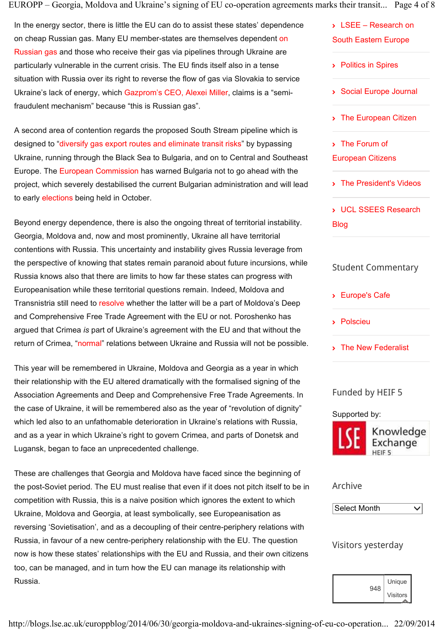EUROPP – Georgia, Moldova and Ukraine's signing of EU co-operation agreements marks their transit... Page 4 of 8

In the energy sector, there is little the EU can do to assist these states' dependence on cheap Russian gas. Many EU member-states are themselves dependent on Russian gas and those who receive their gas via pipelines through Ukraine are particularly vulnerable in the current crisis. The EU finds itself also in a tense situation with Russia over its right to reverse the flow of gas via Slovakia to service Ukraine's lack of energy, which Gazprom's CEO, Alexei Miller, claims is a "semifraudulent mechanism" because "this is Russian gas".

A second area of contention regards the proposed South Stream pipeline which is designed to "diversify gas export routes and eliminate transit risks" by bypassing Ukraine, running through the Black Sea to Bulgaria, and on to Central and Southeast Europe. The European Commission has warned Bulgaria not to go ahead with the project, which severely destabilised the current Bulgarian administration and will lead to early elections being held in October.

Beyond energy dependence, there is also the ongoing threat of territorial instability. Georgia, Moldova and, now and most prominently, Ukraine all have territorial contentions with Russia. This uncertainty and instability gives Russia leverage from the perspective of knowing that states remain paranoid about future incursions, while Russia knows also that there are limits to how far these states can progress with Europeanisation while these territorial questions remain. Indeed, Moldova and Transnistria still need to resolve whether the latter will be a part of Moldova's Deep and Comprehensive Free Trade Agreement with the EU or not. Poroshenko has argued that Crimea *is* part of Ukraine's agreement with the EU and that without the return of Crimea, "normal" relations between Ukraine and Russia will not be possible.

This year will be remembered in Ukraine, Moldova and Georgia as a year in which their relationship with the EU altered dramatically with the formalised signing of the Association Agreements and Deep and Comprehensive Free Trade Agreements. In the case of Ukraine, it will be remembered also as the year of "revolution of dignity" which led also to an unfathomable deterioration in Ukraine's relations with Russia, and as a year in which Ukraine's right to govern Crimea, and parts of Donetsk and Lugansk, began to face an unprecedented challenge.

These are challenges that Georgia and Moldova have faced since the beginning of the post-Soviet period. The EU must realise that even if it does not pitch itself to be in competition with Russia, this is a naive position which ignores the extent to which Ukraine, Moldova and Georgia, at least symbolically, see Europeanisation as reversing 'Sovietisation', and as a decoupling of their centre-periphery relations with Russia, in favour of a new centre-periphery relationship with the EU. The question now is how these states' relationships with the EU and Russia, and their own citizens too, can be managed, and in turn how the EU can manage its relationship with Russia.

## - LSEE – Research on South Eastern Europe

- Politics in Spires
- Social Europe Journal
- The European Citizen
- The Forum of European Citizens
- The President's Videos

- UCL SSEES Research Blog

## Student Commentary

- Europe's Cafe
- Polscieu
- The New Federalist

## Funded by HEIF 5

Supported by:



Knowledge Exchange

## Archive



Visitors yesterday

|     | Unique          |
|-----|-----------------|
| 948 | <b>Visitors</b> |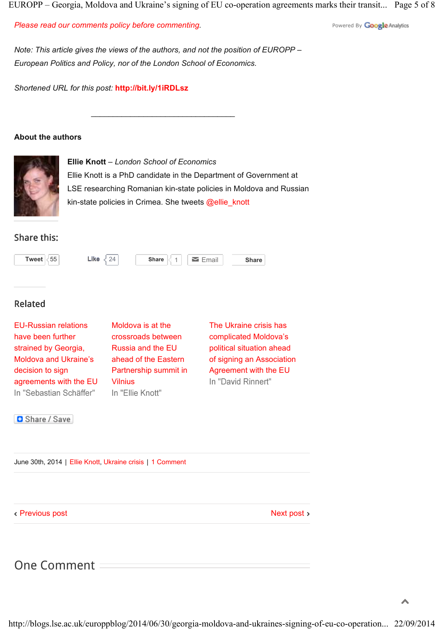EUROPP – Georgia, Moldova and Ukraine's signing of EU co-operation agreements marks their transit... Page 5 of 8

*Please read our comments policy before commenting.*

Powered By **Google** Analytics

*Note: This article gives the views of the authors, and not the position of EUROPP – European Politics and Policy, nor of the London School of Economics.*

\_\_\_\_\_\_\_\_\_\_\_\_\_\_\_\_\_\_\_\_\_\_\_\_\_\_\_\_\_\_\_\_\_

*Shortened URL for this post:* **http://bit.ly/1iRDLsz**

#### **About the authors**



**Ellie Knott** *– London School of Economics* Ellie Knott is a PhD candidate in the Department of Government at LSE researching Romanian kin-state policies in Moldova and Russian kin-state policies in Crimea. She tweets @ellie\_knott

### Share this:



## Related

EU-Russian relations have been further strained by Georgia, Moldova and Ukraine's decision to sign agreements with the EU In "Sebastian Schäffer"

Moldova is at the crossroads between Russia and the EU ahead of the Eastern Partnership summit in Vilnius In "Ellie Knott"

The Ukraine crisis has complicated Moldova's political situation ahead of signing an Association Agreement with the EU In "David Rinnert"

**B** Share / Save

June 30th, 2014 | Ellie Knott, Ukraine crisis | 1 Comment

Previous post

Next post >

## One Comment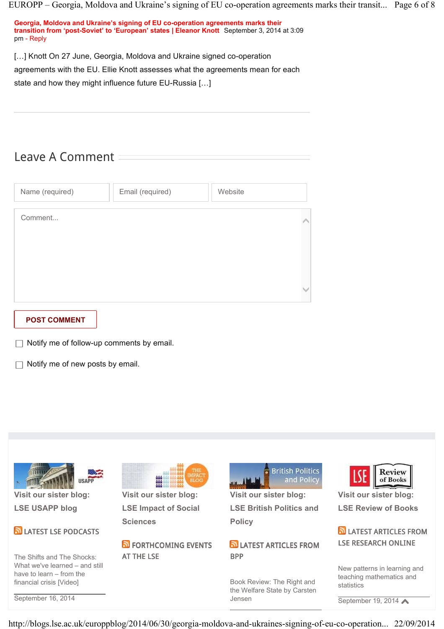EUROPP – Georgia, Moldova and Ukraine's signing of EU co-operation agreements marks their transit... Page 6 of 8

| Georgia, Moldova and Ukraine's signing of EU co-operation agreements marks their             |  |  |  |  |
|----------------------------------------------------------------------------------------------|--|--|--|--|
| transition from 'post-Soviet' to 'European' states   Eleanor Knott September 3, 2014 at 3:09 |  |  |  |  |
| pm - Reply                                                                                   |  |  |  |  |

[...] Knott On 27 June, Georgia, Moldova and Ukraine signed co-operation

agreements with the EU. Ellie Knott assesses what the agreements mean for each

state and how they might influence future EU-Russia […]

## Leave A Comment

| Name (required) | Email (required) | Website |
|-----------------|------------------|---------|
| Comment         |                  |         |
|                 |                  |         |
|                 |                  |         |
|                 |                  |         |

### **POST COMMENT**

 $\Box$  Notify me of follow-up comments by email.

 $\Box$  Notify me of new posts by email.



http://blogs.lse.ac.uk/europpblog/2014/06/30/georgia-moldova-and-ukraines-signing-of-eu-co-operation... 22/09/2014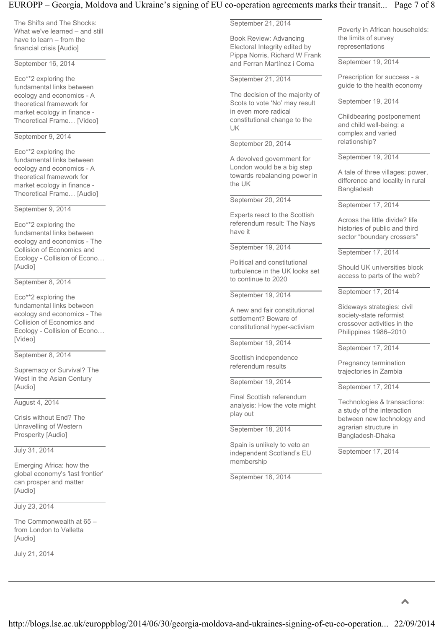#### EUROPP – Georgia, Moldova and Ukraine's signing of EU co-operation agreements marks their transit... Page 7 of 8

The Shifts and The Shocks: What we've learned – and still have to learn – from the financial crisis [Audio]

September 16, 2014

Eco\*\*2 exploring the fundamental links between ecology and economics - A theoretical framework for market ecology in finance - Theoretical Frame… [Video]

#### September 9, 2014

Eco\*\*2 exploring the fundamental links between ecology and economics - A theoretical framework for market ecology in finance - Theoretical Frame… [Audio]

September 9, 2014

Eco\*\*2 exploring the fundamental links between ecology and economics - The Collision of Economics and Ecology - Collision of Econo… [Audio]

September 8, 2014

Eco\*\*2 exploring the fundamental links between ecology and economics - The Collision of Economics and Ecology - Collision of Econo… [Video]

September 8, 2014

Supremacy or Survival? The West in the Asian Century [Audio]

August 4, 2014

Crisis without End? The Unravelling of Western Prosperity [Audio]

July 31, 2014

Emerging Africa: how the global economy's 'last frontier' can prosper and matter [Audio]

July 23, 2014

The Commonwealth at 65 – from London to Valletta [Audio]

July 21, 2014

September 21, 2014

Book Review: Advancing Electoral Integrity edited by Pippa Norris, Richard W Frank and Ferran Martínez i Coma

September 21, 2014

The decision of the majority of Scots to vote 'No' may result in even more radical constitutional change to the UK

#### September 20, 2014

A devolved government for London would be a big step towards rebalancing power in the UK

September 20, 2014

Experts react to the Scottish referendum result: The Nays have it

September 19, 2014

Political and constitutional turbulence in the UK looks set to continue to 2020

September 19, 2014

A new and fair constitutional settlement? Beware of constitutional hyper-activism

September 19, 2014

Scottish independence referendum results

September 19, 2014

Final Scottish referendum analysis: How the vote might play out

September 18, 2014

Spain is unlikely to veto an independent Scotland's EU membership

September 18, 2014

Poverty in African households: the limits of survey representations

September 19, 2014

Prescription for success - a guide to the health economy

September 19, 2014

Childbearing postponement and child well-being: a complex and varied relationship?

September 19, 2014

A tale of three villages: power, difference and locality in rural Bangladesh

September 17, 2014

Across the little divide? life histories of public and third sector "boundary crossers"

September 17, 2014

Should UK universities block access to parts of the web?

September 17, 2014

Sideways strategies: civil society-state reformist crossover activities in the Philippines 1986–2010

September 17, 2014

Pregnancy termination trajectories in Zambia

September 17, 2014

Technologies & transactions: a study of the interaction between new technology and agrarian structure in Bangladesh-Dhaka

September 17, 2014